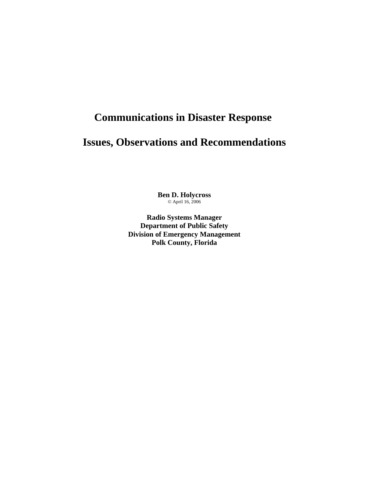# **Communications in Disaster Response**

## **Issues, Observations and Recommendations**

**Ben D. Holycross** © April 16, 2006

**Radio Systems Manager Department of Public Safety Division of Emergency Management Polk County, Florida**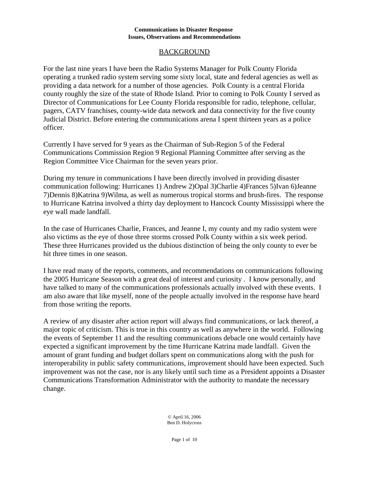## BACKGROUND

For the last nine years I have been the Radio Systems Manager for Polk County Florida operating a trunked radio system serving some sixty local, state and federal agencies as well as providing a data network for a number of those agencies. Polk County is a central Florida county roughly the size of the state of Rhode Island. Prior to coming to Polk County I served as Director of Communications for Lee County Florida responsible for radio, telephone, cellular, pagers, CATV franchises, county-wide data network and data connectivity for the five county Judicial District. Before entering the communications arena I spent thirteen years as a police officer.

Currently I have served for 9 years as the Chairman of Sub-Region 5 of the Federal Communications Commission Region 9 Regional Planning Committee after serving as the Region Committee Vice Chairman for the seven years prior.

During my tenure in communications I have been directly involved in providing disaster communication following: Hurricanes 1) Andrew 2)Opal 3)Charlie 4)Frances 5)Ivan 6)Jeanne 7)Dennis 8)Katrina 9)Wilma, as well as numerous tropical storms and brush-fires. The response to Hurricane Katrina involved a thirty day deployment to Hancock County Mississippi where the eye wall made landfall.

In the case of Hurricanes Charlie, Frances, and Jeanne I, my county and my radio system were also victims as the eye of those three storms crossed Polk County within a six week period. These three Hurricanes provided us the dubious distinction of being the only county to ever be hit three times in one season.

I have read many of the reports, comments, and recommendations on communications following the 2005 Hurricane Season with a great deal of interest and curiosity . I know personally, and have talked to many of the communications professionals actually involved with these events. I am also aware that like myself, none of the people actually involved in the response have heard from those writing the reports.

A review of any disaster after action report will always find communications, or lack thereof, a major topic of criticism. This is true in this country as well as anywhere in the world. Following the events of September 11 and the resulting communications debacle one would certainly have expected a significant improvement by the time Hurricane Katrina made landfall. Given the amount of grant funding and budget dollars spent on communications along with the push for interoperability in public safety communications, improvement should have been expected. Such improvement was not the case, nor is any likely until such time as a President appoints a Disaster Communications Transformation Administrator with the authority to mandate the necessary change.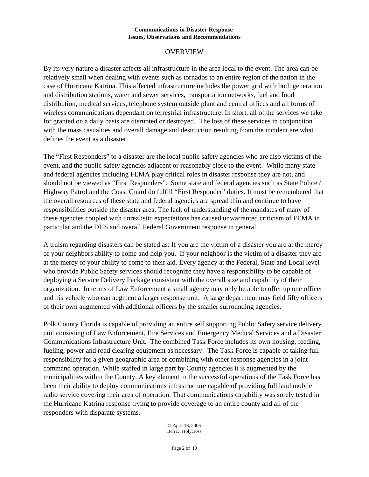## OVERVIEW

By its very nature a disaster affects all infrastructure in the area local to the event. The area can be relatively small when dealing with events such as tornados to an entire region of the nation in the case of Hurricane Katrina. This affected infrastructure includes the power grid with both generation and distribution stations, water and sewer services, transportation networks, fuel and food distribution, medical services, telephone system outside plant and central offices and all forms of wireless communications dependant on terrestrial infrastructure. In short, all of the services we take for granted on a daily basis are disrupted or destroyed. The loss of these services in conjunction with the mass casualties and overall damage and destruction resulting from the incident are what defines the event as a disaster.

The "First Responders" to a disaster are the local public safety agencies who are also victims of the event, and the public safety agencies adjacent or reasonably close to the event. While many state and federal agencies including FEMA play critical roles in disaster response they are not, and should not be viewed as "First Responders". Some state and federal agencies such as State Police / Highway Patrol and the Coast Guard do fulfill "First Responder" duties. It must be remembered that the overall resources of these state and federal agencies are spread thin and continue to have responsibilities outside the disaster area. The lack of understanding of the mandates of many of these agencies coupled with unrealistic expectations has caused unwarranted criticism of FEMA in particular and the DHS and overall Federal Government response in general.

A truism regarding disasters can be stated as: If you are the victim of a disaster you are at the mercy of your neighbors ability to come and help you. If your neighbor is the victim of a disaster they are at the mercy of your ability to come to their aid. Every agency at the Federal, State and Local level who provide Public Safety services should recognize they have a responsibility to be capable of deploying a Service Delivery Package consistent with the overall size and capability of their organization. In terms of Law Enforcement a small agency may only be able to offer up one officer and his vehicle who can augment a larger response unit. A large department may field fifty officers of their own augmented with additional officers by the smaller surrounding agencies.

Polk County Florida is capable of providing an entire self supporting Public Safety service delivery unit consisting of Law Enforcement, Fire Services and Emergency Medical Services and a Disaster Communications Infrastructure Unit. The combined Task Force includes its own housing, feeding, fueling, power and road clearing equipment as necessary. The Task Force is capable of taking full responsibility for a given geographic area or combining with other response agencies in a joint command operation. While staffed in large part by County agencies it is augmented by the municipalities within the County. A key element in the successful operations of the Task Force has been their ability to deploy communications infrastructure capable of providing full land mobile radio service covering their area of operation. That communications capability was sorely tested in the Hurricane Katrina response trying to provide coverage to an entire county and all of the responders with disparate systems.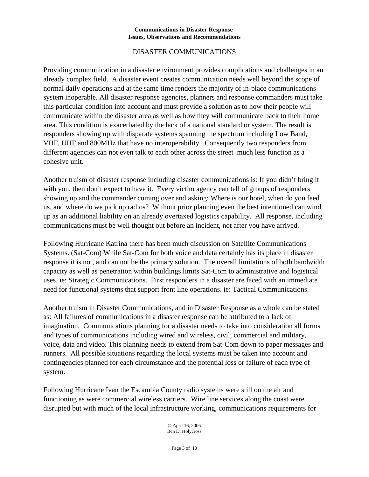## DISASTER COMMUNICATIONS

Providing communication in a disaster environment provides complications and challenges in an already complex field. A disaster event creates communication needs well beyond the scope of normal daily operations and at the same time renders the majority of in-place communications system inoperable. All disaster response agencies, planners and response commanders must take this particular condition into account and must provide a solution as to how their people will communicate within the disaster area as well as how they will communicate back to their home area. This condition is exacerbated by the lack of a national standard or system. The result is responders showing up with disparate systems spanning the spectrum including Low Band, VHF, UHF and 800MHz that have no interoperability. Consequently two responders from different agencies can not even talk to each other across the street much less function as a cohesive unit.

Another truism of disaster response including disaster communications is: If you didn't bring it with you, then don't expect to have it. Every victim agency can tell of groups of responders showing up and the commander coming over and asking; Where is our hotel, when do you feed us, and where do we pick up radios? Without prior planning even the best intentioned can wind up as an additional liability on an already overtaxed logistics capability. All response, including communications must be well thought out before an incident, not after you have arrived.

Following Hurricane Katrina there has been much discussion on Satellite Communications Systems. (Sat-Com) While Sat-Com for both voice and data certainly has its place in disaster response it is not, and can not be the primary solution. The overall limitations of both bandwidth capacity as well as penetration within buildings limits Sat-Com to administrative and logistical uses. ie: Strategic Communications. First responders in a disaster are faced with an immediate need for functional systems that support front line operations. ie: Tactical Communications.

Another truism in Disaster Communications, and in Disaster Response as a whole can be stated as: All failures of communications in a disaster response can be attributed to a lack of imagination. Communications planning for a disaster needs to take into consideration all forms and types of communications including wired and wireless, civil, commercial and military, voice, data and video. This planning needs to extend from Sat-Com down to paper messages and runners. All possible situations regarding the local systems must be taken into account and contingencies planned for each circumstance and the potential loss or failure of each type of system.

Following Hurricane Ivan the Escambia County radio systems were still on the air and functioning as were commercial wireless carriers. Wire line services along the coast were disrupted but with much of the local infrastructure working, communications requirements for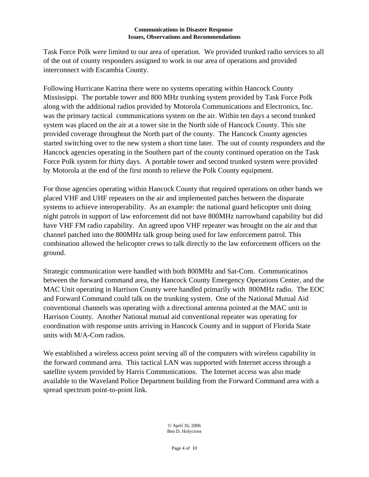Task Force Polk were limited to our area of operation. We provided trunked radio services to all of the out of county responders assigned to work in our area of operations and provided interconnect with Escambia County.

Following Hurricane Katrina there were no systems operating within Hancock County Mississippi. The portable tower and 800 MHz trunking system provided by Task Force Polk along with the additional radios provided by Motorola Communications and Electronics, Inc. was the primary tactical communications system on the air. Within ten days a second trunked system was placed on the air at a tower site in the North side of Hancock County. This site provided coverage throughout the North part of the county. The Hancock County agencies started switching over to the new system a short time later. The out of county responders and the Hancock agencies operating in the Southern part of the county continued operation on the Task Force Polk system for thirty days. A portable tower and second trunked system were provided by Motorola at the end of the first month to relieve the Polk County equipment.

For those agencies operating within Hancock County that required operations on other bands we placed VHF and UHF repeaters on the air and implemented patches between the disparate systems to achieve interoperability. As an example: the national guard helicopter unit doing night patrols in support of law enforcement did not have 800MHz narrowband capability but did have VHF FM radio capability. An agreed upon VHF repeater was brought on the air and that channel patched into the 800MHz talk group being used for law enforcement patrol. This combination allowed the helicopter crews to talk directly to the law enforcement officers on the ground.

Strategic communication were handled with both 800MHz and Sat-Com. Communicatinos between the forward command area, the Hancock County Emergency Operations Center, and the MAC Unit operating in Harrison County were handled primarily with 800MHz radio. The EOC and Forward Command could talk on the trunking system. One of the National Mutual Aid conventional channels was operating with a directional antenna pointed at the MAC unit in Harrison County. Another National mutual aid conventional repeater was operating for coordination with response units arriving in Hancock County and in support of Florida State units with M/A-Com radios.

We established a wireless access point serving all of the computers with wireless capability in the forward command area. This tactical LAN was supported with Internet access through a satellite system provided by Harris Communications. The Internet access was also made available to the Waveland Police Department building from the Forward Command area with a spread spectrum point-to-point link.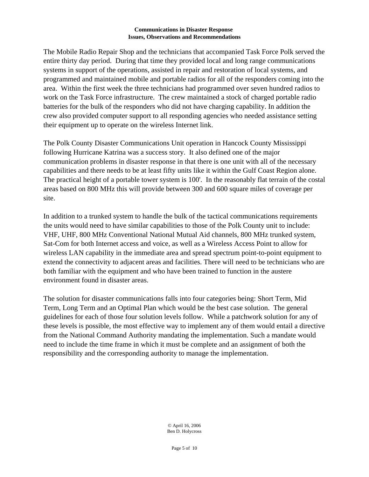The Mobile Radio Repair Shop and the technicians that accompanied Task Force Polk served the entire thirty day period. During that time they provided local and long range communications systems in support of the operations, assisted in repair and restoration of local systems, and programmed and maintained mobile and portable radios for all of the responders coming into the area. Within the first week the three technicians had programmed over seven hundred radios to work on the Task Force infrastructure. The crew maintained a stock of charged portable radio batteries for the bulk of the responders who did not have charging capability. In addition the crew also provided computer support to all responding agencies who needed assistance setting their equipment up to operate on the wireless Internet link.

The Polk County Disaster Communications Unit operation in Hancock County Mississippi following Hurricane Katrina was a success story. It also defined one of the major communication problems in disaster response in that there is one unit with all of the necessary capabilities and there needs to be at least fifty units like it within the Gulf Coast Region alone. The practical height of a portable tower system is 100'. In the reasonably flat terrain of the costal areas based on 800 MHz this will provide between 300 and 600 square miles of coverage per site.

In addition to a trunked system to handle the bulk of the tactical communications requirements the units would need to have similar capabilities to those of the Polk County unit to include: VHF, UHF, 800 MHz Conventional National Mutual Aid channels, 800 MHz trunked system, Sat-Com for both Internet access and voice, as well as a Wireless Access Point to allow for wireless LAN capability in the immediate area and spread spectrum point-to-point equipment to extend the connectivity to adjacent areas and facilities. There will need to be technicians who are both familiar with the equipment and who have been trained to function in the austere environment found in disaster areas.

The solution for disaster communications falls into four categories being: Short Term, Mid Term, Long Term and an Optimal Plan which would be the best case solution. The general guidelines for each of those four solution levels follow. While a patchwork solution for any of these levels is possible, the most effective way to implement any of them would entail a directive from the National Command Authority mandating the implementation. Such a mandate would need to include the time frame in which it must be complete and an assignment of both the responsibility and the corresponding authority to manage the implementation.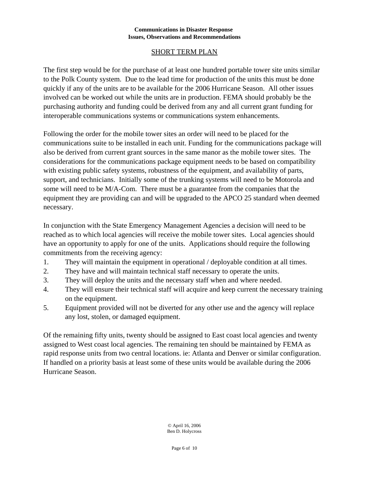## SHORT TERM PLAN

The first step would be for the purchase of at least one hundred portable tower site units similar to the Polk County system. Due to the lead time for production of the units this must be done quickly if any of the units are to be available for the 2006 Hurricane Season. All other issues involved can be worked out while the units are in production. FEMA should probably be the purchasing authority and funding could be derived from any and all current grant funding for interoperable communications systems or communications system enhancements.

Following the order for the mobile tower sites an order will need to be placed for the communications suite to be installed in each unit. Funding for the communications package will also be derived from current grant sources in the same manor as the mobile tower sites. The considerations for the communications package equipment needs to be based on compatibility with existing public safety systems, robustness of the equipment, and availability of parts, support, and technicians. Initially some of the trunking systems will need to be Motorola and some will need to be M/A-Com. There must be a guarantee from the companies that the equipment they are providing can and will be upgraded to the APCO 25 standard when deemed necessary.

In conjunction with the State Emergency Management Agencies a decision will need to be reached as to which local agencies will receive the mobile tower sites. Local agencies should have an opportunity to apply for one of the units. Applications should require the following commitments from the receiving agency:

- 1. They will maintain the equipment in operational / deployable condition at all times.
- 2. They have and will maintain technical staff necessary to operate the units.
- 3. They will deploy the units and the necessary staff when and where needed.
- 4. They will ensure their technical staff will acquire and keep current the necessary training on the equipment.
- 5. Equipment provided will not be diverted for any other use and the agency will replace any lost, stolen, or damaged equipment.

Of the remaining fifty units, twenty should be assigned to East coast local agencies and twenty assigned to West coast local agencies. The remaining ten should be maintained by FEMA as rapid response units from two central locations. ie: Atlanta and Denver or similar configuration. If handled on a priority basis at least some of these units would be available during the 2006 Hurricane Season.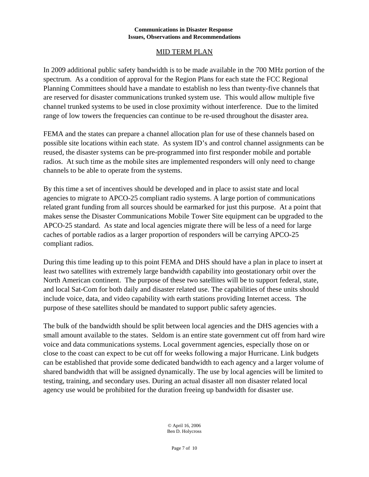## MID TERM PLAN

In 2009 additional public safety bandwidth is to be made available in the 700 MHz portion of the spectrum. As a condition of approval for the Region Plans for each state the FCC Regional Planning Committees should have a mandate to establish no less than twenty-five channels that are reserved for disaster communications trunked system use. This would allow multiple five channel trunked systems to be used in close proximity without interference. Due to the limited range of low towers the frequencies can continue to be re-used throughout the disaster area.

FEMA and the states can prepare a channel allocation plan for use of these channels based on possible site locations within each state. As system ID's and control channel assignments can be reused, the disaster systems can be pre-programmed into first responder mobile and portable radios. At such time as the mobile sites are implemented responders will only need to change channels to be able to operate from the systems.

By this time a set of incentives should be developed and in place to assist state and local agencies to migrate to APCO-25 compliant radio systems. A large portion of communications related grant funding from all sources should be earmarked for just this purpose. At a point that makes sense the Disaster Communications Mobile Tower Site equipment can be upgraded to the APCO-25 standard. As state and local agencies migrate there will be less of a need for large caches of portable radios as a larger proportion of responders will be carrying APCO-25 compliant radios.

During this time leading up to this point FEMA and DHS should have a plan in place to insert at least two satellites with extremely large bandwidth capability into geostationary orbit over the North American continent. The purpose of these two satellites will be to support federal, state, and local Sat-Com for both daily and disaster related use. The capabilities of these units should include voice, data, and video capability with earth stations providing Internet access. The purpose of these satellites should be mandated to support public safety agencies.

The bulk of the bandwidth should be split between local agencies and the DHS agencies with a small amount available to the states. Seldom is an entire state government cut off from hard wire voice and data communications systems. Local government agencies, especially those on or close to the coast can expect to be cut off for weeks following a major Hurricane. Link budgets can be established that provide some dedicated bandwidth to each agency and a larger volume of shared bandwidth that will be assigned dynamically. The use by local agencies will be limited to testing, training, and secondary uses. During an actual disaster all non disaster related local agency use would be prohibited for the duration freeing up bandwidth for disaster use.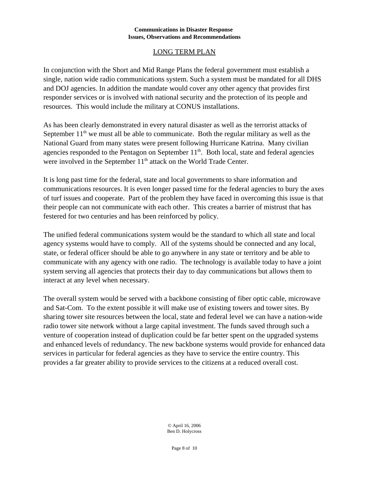## LONG TERM PLAN

In conjunction with the Short and Mid Range Plans the federal government must establish a single, nation wide radio communications system. Such a system must be mandated for all DHS and DOJ agencies. In addition the mandate would cover any other agency that provides first responder services or is involved with national security and the protection of its people and resources. This would include the military at CONUS installations.

As has been clearly demonstrated in every natural disaster as well as the terrorist attacks of September  $11<sup>th</sup>$  we must all be able to communicate. Both the regular military as well as the National Guard from many states were present following Hurricane Katrina. Many civilian agencies responded to the Pentagon on September  $11<sup>th</sup>$ . Both local, state and federal agencies were involved in the September 11<sup>th</sup> attack on the World Trade Center.

It is long past time for the federal, state and local governments to share information and communications resources. It is even longer passed time for the federal agencies to bury the axes of turf issues and cooperate. Part of the problem they have faced in overcoming this issue is that their people can not communicate with each other. This creates a barrier of mistrust that has festered for two centuries and has been reinforced by policy.

The unified federal communications system would be the standard to which all state and local agency systems would have to comply. All of the systems should be connected and any local, state, or federal officer should be able to go anywhere in any state or territory and be able to communicate with any agency with one radio. The technology is available today to have a joint system serving all agencies that protects their day to day communications but allows them to interact at any level when necessary.

The overall system would be served with a backbone consisting of fiber optic cable, microwave and Sat-Com. To the extent possible it will make use of existing towers and tower sites. By sharing tower site resources between the local, state and federal level we can have a nation-wide radio tower site network without a large capital investment. The funds saved through such a venture of cooperation instead of duplication could be far better spent on the upgraded systems and enhanced levels of redundancy. The new backbone systems would provide for enhanced data services in particular for federal agencies as they have to service the entire country. This provides a far greater ability to provide services to the citizens at a reduced overall cost.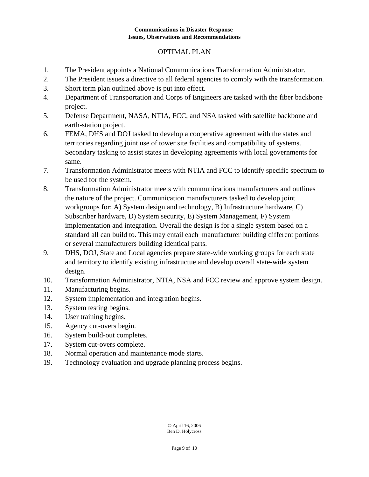## OPTIMAL PLAN

- 1. The President appoints a National Communications Transformation Administrator.
- 2. The President issues a directive to all federal agencies to comply with the transformation.
- 3. Short term plan outlined above is put into effect.
- 4. Department of Transportation and Corps of Engineers are tasked with the fiber backbone project.
- 5. Defense Department, NASA, NTIA, FCC, and NSA tasked with satellite backbone and earth-station project.
- 6. FEMA, DHS and DOJ tasked to develop a cooperative agreement with the states and territories regarding joint use of tower site facilities and compatibility of systems. Secondary tasking to assist states in developing agreements with local governments for same.
- 7. Transformation Administrator meets with NTIA and FCC to identify specific spectrum to be used for the system.
- 8. Transformation Administrator meets with communications manufacturers and outlines the nature of the project. Communication manufacturers tasked to develop joint workgroups for: A) System design and technology, B) Infrastructure hardware, C) Subscriber hardware, D) System security, E) System Management, F) System implementation and integration. Overall the design is for a single system based on a standard all can build to. This may entail each manufacturer building different portions or several manufacturers building identical parts.
- 9. DHS, DOJ, State and Local agencies prepare state-wide working groups for each state and territory to identify existing infrastructue and develop overall state-wide system design.
- 10. Transformation Administrator, NTIA, NSA and FCC review and approve system design.
- 11. Manufacturing begins.
- 12. System implementation and integration begins.
- 13. System testing begins.
- 14. User training begins.
- 15. Agency cut-overs begin.
- 16. System build-out completes.
- 17. System cut-overs complete.
- 18. Normal operation and maintenance mode starts.
- 19. Technology evaluation and upgrade planning process begins.